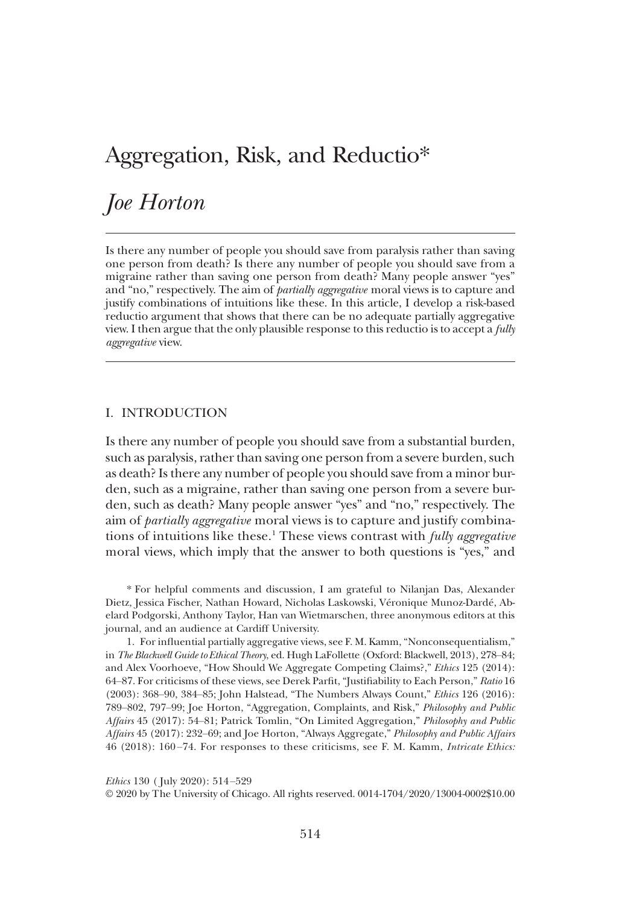# Aggregation, Risk, and Reductio\*

# Joe Horton

Is there any number of people you should save from paralysis rather than saving one person from death? Is there any number of people you should save from a migraine rather than saving one person from death? Many people answer "yes" and "no," respectively. The aim of partially aggregative moral views is to capture and justify combinations of intuitions like these. In this article, I develop a risk-based reductio argument that shows that there can be no adequate partially aggregative view. I then argue that the only plausible response to this reductio is to accept a *fully* aggregative view.

## I. INTRODUCTION

Is there any number of people you should save from a substantial burden, such as paralysis, rather than saving one person from a severe burden, such as death? Is there any number of people you should save from a minor burden, such as a migraine, rather than saving one person from a severe burden, such as death? Many people answer "yes" and "no," respectively. The aim of *partially aggregative* moral views is to capture and justify combinations of intuitions like these.<sup>1</sup> These views contrast with *fully aggregative* moral views, which imply that the answer to both questions is "yes," and

\* For helpful comments and discussion, I am grateful to Nilanjan Das, Alexander Dietz, Jessica Fischer, Nathan Howard, Nicholas Laskowski, Véronique Munoz-Dardé, Abelard Podgorski, Anthony Taylor, Han van Wietmarschen, three anonymous editors at this journal, and an audience at Cardiff University.

1. For influential partially aggregative views, see F. M. Kamm, "Nonconsequentialism," in The Blackwell Guide to Ethical Theory, ed. Hugh LaFollette (Oxford: Blackwell, 2013), 278–84; and Alex Voorhoeve, "How Should We Aggregate Competing Claims?," Ethics 125 (2014): 64–87. For criticisms of these views, see Derek Parfit, "Justifiability to Each Person," Ratio 16 (2003): 368–90, 384–85; John Halstead, "The Numbers Always Count," Ethics 126 (2016): 789–802, 797–99; Joe Horton, "Aggregation, Complaints, and Risk," Philosophy and Public Affairs 45 (2017): 54–81; Patrick Tomlin, "On Limited Aggregation," Philosophy and Public Affairs 45 (2017): 232–69; and Joe Horton, "Always Aggregate," Philosophy and Public Affairs 46 (2018): 160 –74. For responses to these criticisms, see F. M. Kamm, Intricate Ethics:

Ethics 130 ( July 2020): 514–529

© 2020 by The University of Chicago. All rights reserved. 0014-1704/2020/13004-0002\$10.00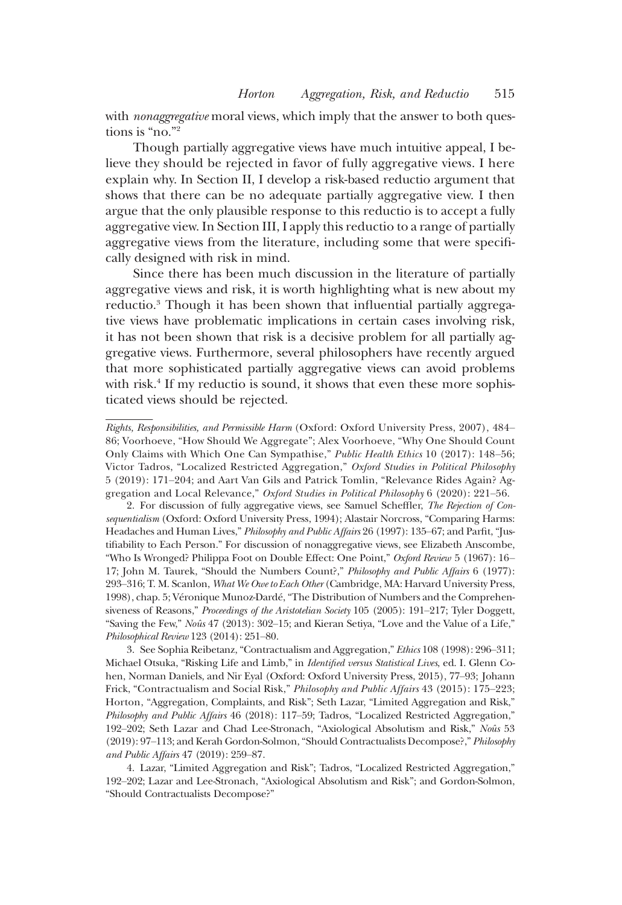with *nonaggregative* moral views, which imply that the answer to both questions is "no."<sup>2</sup>

Though partially aggregative views have much intuitive appeal, I believe they should be rejected in favor of fully aggregative views. I here explain why. In Section II, I develop a risk-based reductio argument that shows that there can be no adequate partially aggregative view. I then argue that the only plausible response to this reductio is to accept a fully aggregative view. In Section III, I apply this reductio to a range of partially aggregative views from the literature, including some that were specifically designed with risk in mind.

Since there has been much discussion in the literature of partially aggregative views and risk, it is worth highlighting what is new about my reductio.<sup>3</sup> Though it has been shown that influential partially aggregative views have problematic implications in certain cases involving risk, it has not been shown that risk is a decisive problem for all partially aggregative views. Furthermore, several philosophers have recently argued that more sophisticated partially aggregative views can avoid problems with risk.<sup>4</sup> If my reductio is sound, it shows that even these more sophisticated views should be rejected.

Rights, Responsibilities, and Permissible Harm (Oxford: Oxford University Press, 2007), 484– 86; Voorhoeve, "How Should We Aggregate"; Alex Voorhoeve, "Why One Should Count Only Claims with Which One Can Sympathise," Public Health Ethics 10 (2017): 148–56; Victor Tadros, "Localized Restricted Aggregation," Oxford Studies in Political Philosophy 5 (2019): 171–204; and Aart Van Gils and Patrick Tomlin, "Relevance Rides Again? Aggregation and Local Relevance," Oxford Studies in Political Philosophy 6 (2020): 221–56.

2. For discussion of fully aggregative views, see Samuel Scheffler, The Rejection of Consequentialism (Oxford: Oxford University Press, 1994); Alastair Norcross, "Comparing Harms: Headaches and Human Lives," Philosophy and Public Affairs 26 (1997): 135-67; and Parfit, "Justifiability to Each Person." For discussion of nonaggregative views, see Elizabeth Anscombe, "Who Is Wronged? Philippa Foot on Double Effect: One Point," Oxford Review 5 (1967): 16– 17; John M. Taurek, "Should the Numbers Count?," Philosophy and Public Affairs 6 (1977): 293–316; T. M. Scanlon, What We Owe to Each Other (Cambridge, MA: Harvard University Press, 1998), chap. 5; Véronique Munoz-Dardé,"The Distribution of Numbers and the Comprehensiveness of Reasons," Proceedings of the Aristotelian Society 105 (2005): 191-217; Tyler Doggett, "Saving the Few," Noûs 47 (2013): 302–15; and Kieran Setiya, "Love and the Value of a Life," Philosophical Review 123 (2014): 251–80.

3. See Sophia Reibetanz,"Contractualism and Aggregation," Ethics 108 (1998): 296–311; Michael Otsuka, "Risking Life and Limb," in Identified versus Statistical Lives, ed. I. Glenn Cohen, Norman Daniels, and Nir Eyal (Oxford: Oxford University Press, 2015), 77–93; Johann Frick, "Contractualism and Social Risk," Philosophy and Public Affairs 43 (2015): 175–223; Horton, "Aggregation, Complaints, and Risk"; Seth Lazar, "Limited Aggregation and Risk," Philosophy and Public Affairs 46 (2018): 117–59; Tadros, "Localized Restricted Aggregation," 192–202; Seth Lazar and Chad Lee-Stronach, "Axiological Absolutism and Risk," Noûs 53 (2019): 97–113; and Kerah Gordon-Solmon,"Should Contractualists Decompose?," Philosophy and Public Affairs 47 (2019): 259–87.

4. Lazar, "Limited Aggregation and Risk"; Tadros, "Localized Restricted Aggregation," 192–202; Lazar and Lee-Stronach, "Axiological Absolutism and Risk"; and Gordon-Solmon, "Should Contractualists Decompose?"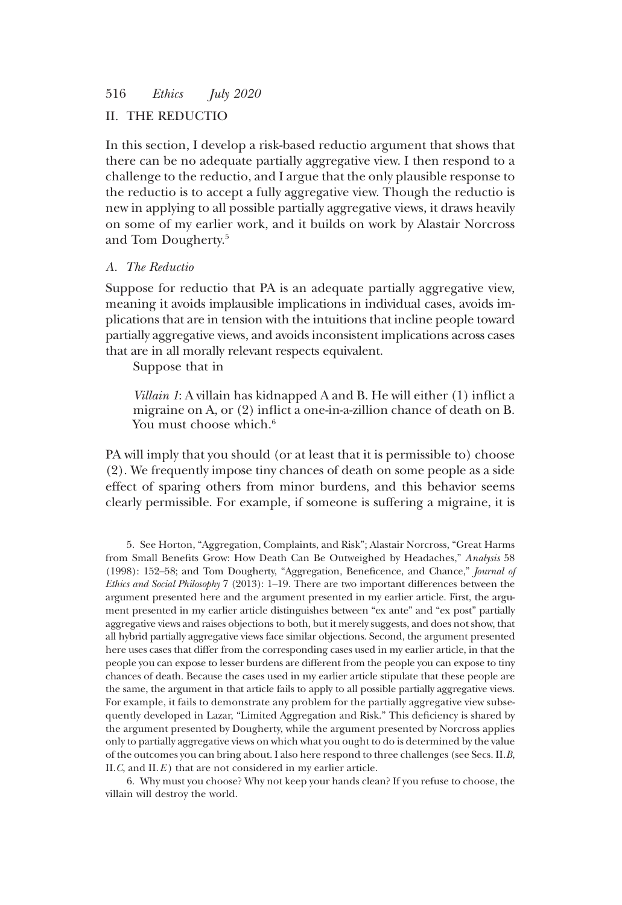# II. THE REDUCTIO

In this section, I develop a risk-based reductio argument that shows that there can be no adequate partially aggregative view. I then respond to a challenge to the reductio, and I argue that the only plausible response to the reductio is to accept a fully aggregative view. Though the reductio is new in applying to all possible partially aggregative views, it draws heavily on some of my earlier work, and it builds on work by Alastair Norcross and Tom Dougherty.5

## A. The Reductio

Suppose for reductio that PA is an adequate partially aggregative view, meaning it avoids implausible implications in individual cases, avoids implications that are in tension with the intuitions that incline people toward partially aggregative views, and avoids inconsistent implications across cases that are in all morally relevant respects equivalent.

Suppose that in

Villain 1: A villain has kidnapped A and B. He will either (1) inflict a migraine on A, or (2) inflict a one-in-a-zillion chance of death on B. You must choose which.<sup>6</sup>

PA will imply that you should (or at least that it is permissible to) choose (2). We frequently impose tiny chances of death on some people as a side effect of sparing others from minor burdens, and this behavior seems clearly permissible. For example, if someone is suffering a migraine, it is

5. See Horton, "Aggregation, Complaints, and Risk"; Alastair Norcross, "Great Harms from Small Benefits Grow: How Death Can Be Outweighed by Headaches," Analysis 58 (1998): 152–58; and Tom Dougherty, "Aggregation, Beneficence, and Chance," Journal of Ethics and Social Philosophy 7 (2013): 1–19. There are two important differences between the argument presented here and the argument presented in my earlier article. First, the argument presented in my earlier article distinguishes between "ex ante" and "ex post" partially aggregative views and raises objections to both, but it merely suggests, and does not show, that all hybrid partially aggregative views face similar objections. Second, the argument presented here uses cases that differ from the corresponding cases used in my earlier article, in that the people you can expose to lesser burdens are different from the people you can expose to tiny chances of death. Because the cases used in my earlier article stipulate that these people are the same, the argument in that article fails to apply to all possible partially aggregative views. For example, it fails to demonstrate any problem for the partially aggregative view subsequently developed in Lazar, "Limited Aggregation and Risk." This deficiency is shared by the argument presented by Dougherty, while the argument presented by Norcross applies only to partially aggregative views on which what you ought to do is determined by the value of the outcomes you can bring about. I also here respond to three challenges (see Secs. II.B, II.C, and II. $E$ ) that are not considered in my earlier article.

6. Why must you choose? Why not keep your hands clean? If you refuse to choose, the villain will destroy the world.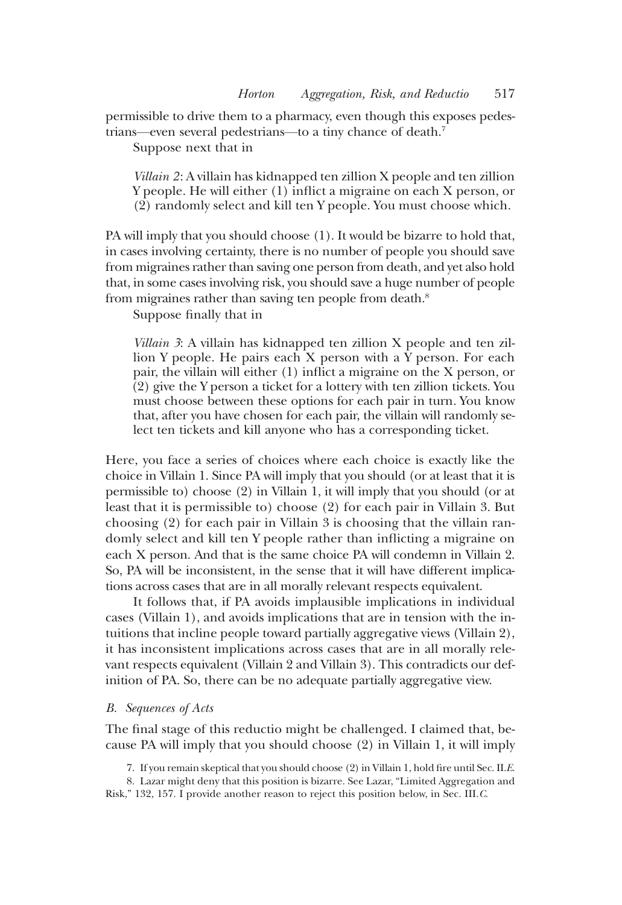permissible to drive them to a pharmacy, even though this exposes pedestrians—even several pedestrians—to a tiny chance of death.7

Suppose next that in

Villain 2: A villain has kidnapped ten zillion X people and ten zillion Y people. He will either (1) inflict a migraine on each X person, or (2) randomly select and kill ten Y people. You must choose which.

PA will imply that you should choose (1). It would be bizarre to hold that, in cases involving certainty, there is no number of people you should save from migraines rather than saving one person from death, and yet also hold that, in some cases involving risk, you should save a huge number of people from migraines rather than saving ten people from death.<sup>8</sup>

Suppose finally that in

Villain 3: A villain has kidnapped ten zillion X people and ten zillion Y people. He pairs each X person with a Y person. For each pair, the villain will either (1) inflict a migraine on the X person, or (2) give the Y person a ticket for a lottery with ten zillion tickets. You must choose between these options for each pair in turn. You know that, after you have chosen for each pair, the villain will randomly select ten tickets and kill anyone who has a corresponding ticket.

Here, you face a series of choices where each choice is exactly like the choice in Villain 1. Since PA will imply that you should (or at least that it is permissible to) choose (2) in Villain 1, it will imply that you should (or at least that it is permissible to) choose (2) for each pair in Villain 3. But choosing (2) for each pair in Villain 3 is choosing that the villain randomly select and kill ten Y people rather than inflicting a migraine on each X person. And that is the same choice PA will condemn in Villain 2. So, PA will be inconsistent, in the sense that it will have different implications across cases that are in all morally relevant respects equivalent.

It follows that, if PA avoids implausible implications in individual cases (Villain 1), and avoids implications that are in tension with the intuitions that incline people toward partially aggregative views (Villain 2), it has inconsistent implications across cases that are in all morally relevant respects equivalent (Villain 2 and Villain 3). This contradicts our definition of PA. So, there can be no adequate partially aggregative view.

#### B. Sequences of Acts

The final stage of this reductio might be challenged. I claimed that, because PA will imply that you should choose (2) in Villain 1, it will imply

7. If you remain skeptical that you should choose (2) in Villain 1, hold fire until Sec. II.E.

8. Lazar might deny that this position is bizarre. See Lazar, "Limited Aggregation and Risk," 132, 157. I provide another reason to reject this position below, in Sec. III.C.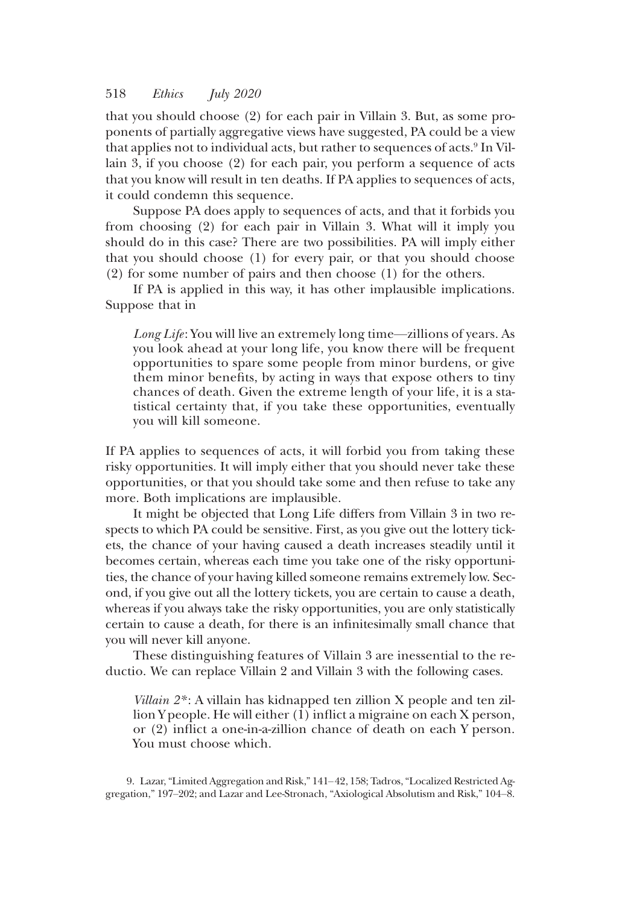that you should choose (2) for each pair in Villain 3. But, as some proponents of partially aggregative views have suggested, PA could be a view that applies not to individual acts, but rather to sequences of acts.<sup>9</sup> In Villain 3, if you choose (2) for each pair, you perform a sequence of acts that you know will result in ten deaths. If PA applies to sequences of acts, it could condemn this sequence.

Suppose PA does apply to sequences of acts, and that it forbids you from choosing (2) for each pair in Villain 3. What will it imply you should do in this case? There are two possibilities. PA will imply either that you should choose (1) for every pair, or that you should choose (2) for some number of pairs and then choose (1) for the others.

If PA is applied in this way, it has other implausible implications. Suppose that in

Long Life: You will live an extremely long time—zillions of years. As you look ahead at your long life, you know there will be frequent opportunities to spare some people from minor burdens, or give them minor benefits, by acting in ways that expose others to tiny chances of death. Given the extreme length of your life, it is a statistical certainty that, if you take these opportunities, eventually you will kill someone.

If PA applies to sequences of acts, it will forbid you from taking these risky opportunities. It will imply either that you should never take these opportunities, or that you should take some and then refuse to take any more. Both implications are implausible.

It might be objected that Long Life differs from Villain 3 in two respects to which PA could be sensitive. First, as you give out the lottery tickets, the chance of your having caused a death increases steadily until it becomes certain, whereas each time you take one of the risky opportunities, the chance of your having killed someone remains extremely low. Second, if you give out all the lottery tickets, you are certain to cause a death, whereas if you always take the risky opportunities, you are only statistically certain to cause a death, for there is an infinitesimally small chance that you will never kill anyone.

These distinguishing features of Villain 3 are inessential to the reductio. We can replace Villain 2 and Villain 3 with the following cases.

Villain 2\* : A villain has kidnapped ten zillion X people and ten zillion Y people. He will either (1) inflict a migraine on each X person, or (2) inflict a one-in-a-zillion chance of death on each Y person. You must choose which.

9. Lazar,"Limited Aggregation and Risk," 141–42, 158; Tadros,"Localized Restricted Aggregation," 197–202; and Lazar and Lee-Stronach, "Axiological Absolutism and Risk," 104–8.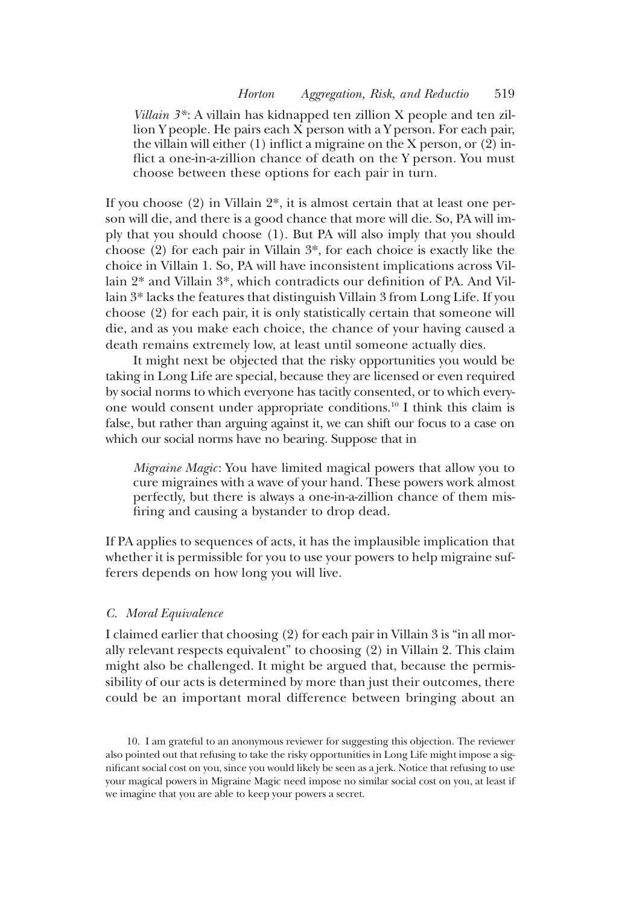Villain  $3^*$ : A villain has kidnapped ten zillion X people and ten zillion Y people. He pairs each X person with a Y person. For each pair, the villain will either (1) inflict a migraine on the X person, or (2) inflict a one-in-a-zillion chance of death on the Y person. You must choose between these options for each pair in turn.

If you choose (2) in Villain 2\*, it is almost certain that at least one person will die, and there is a good chance that more will die. So, PA will imply that you should choose (1). But PA will also imply that you should choose (2) for each pair in Villain 3\*, for each choice is exactly like the choice in Villain 1. So, PA will have inconsistent implications across Villain 2\* and Villain 3\*, which contradicts our definition of PA. And Villain 3\* lacks the features that distinguish Villain 3 from Long Life. If you choose (2) for each pair, it is only statistically certain that someone will die, and as you make each choice, the chance of your having caused a death remains extremely low, at least until someone actually dies.

It might next be objected that the risky opportunities you would be taking in Long Life are special, because they are licensed or even required by social norms to which everyone has tacitly consented, or to which everyone would consent under appropriate conditions.10 I think this claim is false, but rather than arguing against it, we can shift our focus to a case on which our social norms have no bearing. Suppose that in

Migraine Magic: You have limited magical powers that allow you to cure migraines with a wave of your hand. These powers work almost perfectly, but there is always a one-in-a-zillion chance of them misfiring and causing a bystander to drop dead.

If PA applies to sequences of acts, it has the implausible implication that whether it is permissible for you to use your powers to help migraine sufferers depends on how long you will live.

# C. Moral Equivalence

I claimed earlier that choosing (2) for each pair in Villain 3 is "in all morally relevant respects equivalent" to choosing (2) in Villain 2. This claim might also be challenged. It might be argued that, because the permissibility of our acts is determined by more than just their outcomes, there could be an important moral difference between bringing about an

10. I am grateful to an anonymous reviewer for suggesting this objection. The reviewer also pointed out that refusing to take the risky opportunities in Long Life might impose a significant social cost on you, since you would likely be seen as a jerk. Notice that refusing to use your magical powers in Migraine Magic need impose no similar social cost on you, at least if we imagine that you are able to keep your powers a secret.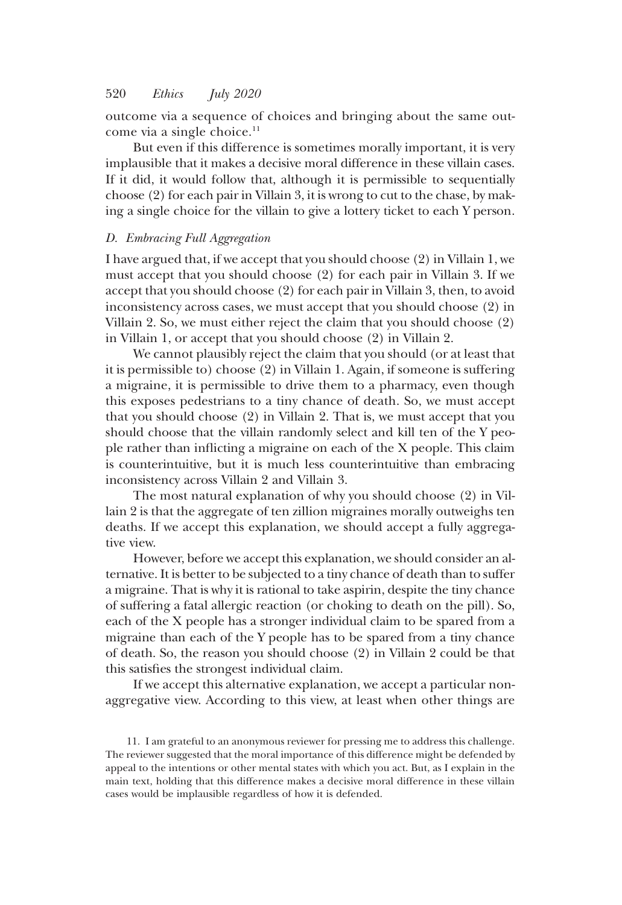outcome via a sequence of choices and bringing about the same outcome via a single choice. $11$ 

But even if this difference is sometimes morally important, it is very implausible that it makes a decisive moral difference in these villain cases. If it did, it would follow that, although it is permissible to sequentially choose (2) for each pair in Villain 3, it is wrong to cut to the chase, by making a single choice for the villain to give a lottery ticket to each Y person.

# D. Embracing Full Aggregation

I have argued that, if we accept that you should choose (2) in Villain 1, we must accept that you should choose (2) for each pair in Villain 3. If we accept that you should choose (2) for each pair in Villain 3, then, to avoid inconsistency across cases, we must accept that you should choose (2) in Villain 2. So, we must either reject the claim that you should choose (2) in Villain 1, or accept that you should choose (2) in Villain 2.

We cannot plausibly reject the claim that you should (or at least that it is permissible to) choose (2) in Villain 1. Again, if someone is suffering a migraine, it is permissible to drive them to a pharmacy, even though this exposes pedestrians to a tiny chance of death. So, we must accept that you should choose (2) in Villain 2. That is, we must accept that you should choose that the villain randomly select and kill ten of the Y people rather than inflicting a migraine on each of the X people. This claim is counterintuitive, but it is much less counterintuitive than embracing inconsistency across Villain 2 and Villain 3.

The most natural explanation of why you should choose (2) in Villain 2 is that the aggregate of ten zillion migraines morally outweighs ten deaths. If we accept this explanation, we should accept a fully aggregative view.

However, before we accept this explanation, we should consider an alternative. It is better to be subjected to a tiny chance of death than to suffer a migraine. That is why it is rational to take aspirin, despite the tiny chance of suffering a fatal allergic reaction (or choking to death on the pill). So, each of the X people has a stronger individual claim to be spared from a migraine than each of the Y people has to be spared from a tiny chance of death. So, the reason you should choose (2) in Villain 2 could be that this satisfies the strongest individual claim.

If we accept this alternative explanation, we accept a particular nonaggregative view. According to this view, at least when other things are

<sup>11.</sup> I am grateful to an anonymous reviewer for pressing me to address this challenge. The reviewer suggested that the moral importance of this difference might be defended by appeal to the intentions or other mental states with which you act. But, as I explain in the main text, holding that this difference makes a decisive moral difference in these villain cases would be implausible regardless of how it is defended.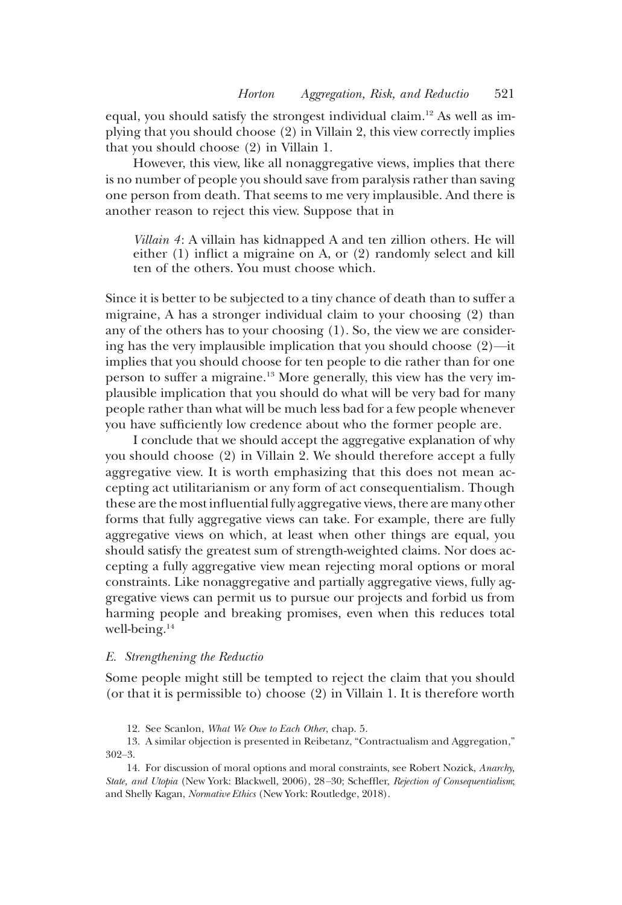equal, you should satisfy the strongest individual claim.<sup>12</sup> As well as implying that you should choose (2) in Villain 2, this view correctly implies that you should choose (2) in Villain 1.

However, this view, like all nonaggregative views, implies that there is no number of people you should save from paralysis rather than saving one person from death. That seems to me very implausible. And there is another reason to reject this view. Suppose that in

Villain 4: A villain has kidnapped A and ten zillion others. He will either (1) inflict a migraine on A, or (2) randomly select and kill ten of the others. You must choose which.

Since it is better to be subjected to a tiny chance of death than to suffer a migraine, A has a stronger individual claim to your choosing (2) than any of the others has to your choosing (1). So, the view we are considering has the very implausible implication that you should choose (2)—it implies that you should choose for ten people to die rather than for one person to suffer a migraine.13 More generally, this view has the very implausible implication that you should do what will be very bad for many people rather than what will be much less bad for a few people whenever you have sufficiently low credence about who the former people are.

I conclude that we should accept the aggregative explanation of why you should choose (2) in Villain 2. We should therefore accept a fully aggregative view. It is worth emphasizing that this does not mean accepting act utilitarianism or any form of act consequentialism. Though these are the most influential fully aggregative views, there are many other forms that fully aggregative views can take. For example, there are fully aggregative views on which, at least when other things are equal, you should satisfy the greatest sum of strength-weighted claims. Nor does accepting a fully aggregative view mean rejecting moral options or moral constraints. Like nonaggregative and partially aggregative views, fully aggregative views can permit us to pursue our projects and forbid us from harming people and breaking promises, even when this reduces total well-being. $14$ 

#### E. Strengthening the Reductio

Some people might still be tempted to reject the claim that you should (or that it is permissible to) choose (2) in Villain 1. It is therefore worth

<sup>12.</sup> See Scanlon, What We Owe to Each Other, chap. 5.

<sup>13.</sup> A similar objection is presented in Reibetanz, "Contractualism and Aggregation," 302–3.

<sup>14.</sup> For discussion of moral options and moral constraints, see Robert Nozick, Anarchy, State, and Utopia (New York: Blackwell, 2006), 28–30; Scheffler, Rejection of Consequentialism; and Shelly Kagan, Normative Ethics (New York: Routledge, 2018).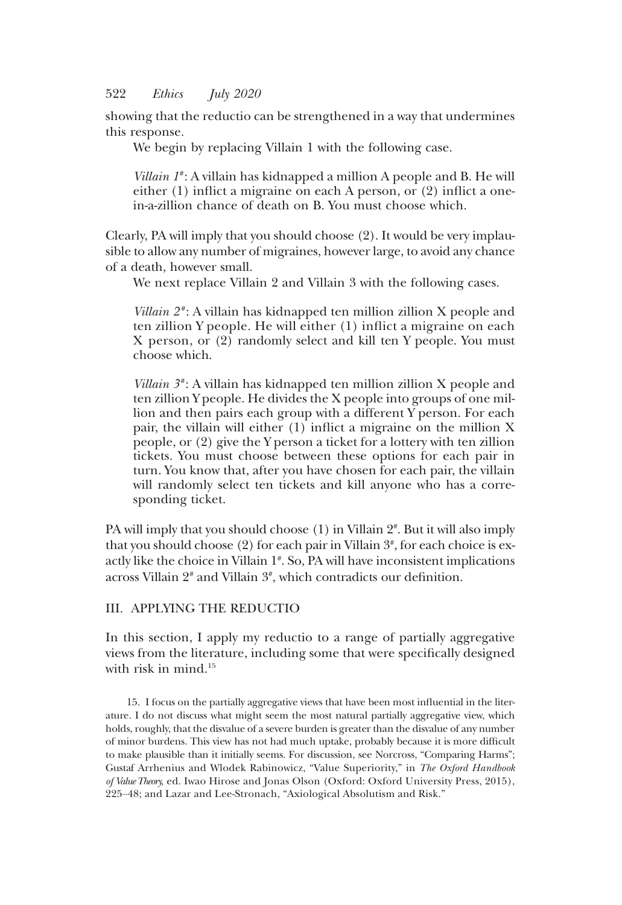showing that the reductio can be strengthened in a way that undermines this response.

We begin by replacing Villain 1 with the following case.

Villain  $I^*$ : A villain has kidnapped a million A people and B. He will either (1) inflict a migraine on each A person, or (2) inflict a onein-a-zillion chance of death on B. You must choose which.

Clearly, PA will imply that you should choose (2). It would be very implausible to allow any number of migraines, however large, to avoid any chance of a death, however small.

We next replace Villain 2 and Villain 3 with the following cases.

*Villain*  $2^*$ : A villain has kidnapped ten million zillion X people and ten zillion Y people. He will either (1) inflict a migraine on each X person, or (2) randomly select and kill ten Y people. You must choose which.

Villain  $3^*$ : A villain has kidnapped ten million zillion X people and ten zillion Y people. He divides the X people into groups of one million and then pairs each group with a different Y person. For each pair, the villain will either (1) inflict a migraine on the million X people, or (2) give the Y person a ticket for a lottery with ten zillion tickets. You must choose between these options for each pair in turn. You know that, after you have chosen for each pair, the villain will randomly select ten tickets and kill anyone who has a corresponding ticket.

PA will imply that you should choose (1) in Villain 2# . But it will also imply that you should choose (2) for each pair in Villain  $3^*$ , for each choice is exactly like the choice in Villain 1# . So, PA will have inconsistent implications across Villain 2# and Villain 3# , which contradicts our definition.

## III. APPLYING THE REDUCTIO

In this section, I apply my reductio to a range of partially aggregative views from the literature, including some that were specifically designed with risk in mind.<sup>15</sup>

15. I focus on the partially aggregative views that have been most influential in the literature. I do not discuss what might seem the most natural partially aggregative view, which holds, roughly, that the disvalue of a severe burden is greater than the disvalue of any number of minor burdens. This view has not had much uptake, probably because it is more difficult to make plausible than it initially seems. For discussion, see Norcross, "Comparing Harms"; Gustaf Arrhenius and Wlodek Rabinowicz, "Value Superiority," in The Oxford Handbook of Value Theory, ed. Iwao Hirose and Jonas Olson (Oxford: Oxford University Press, 2015), 225–48; and Lazar and Lee-Stronach, "Axiological Absolutism and Risk."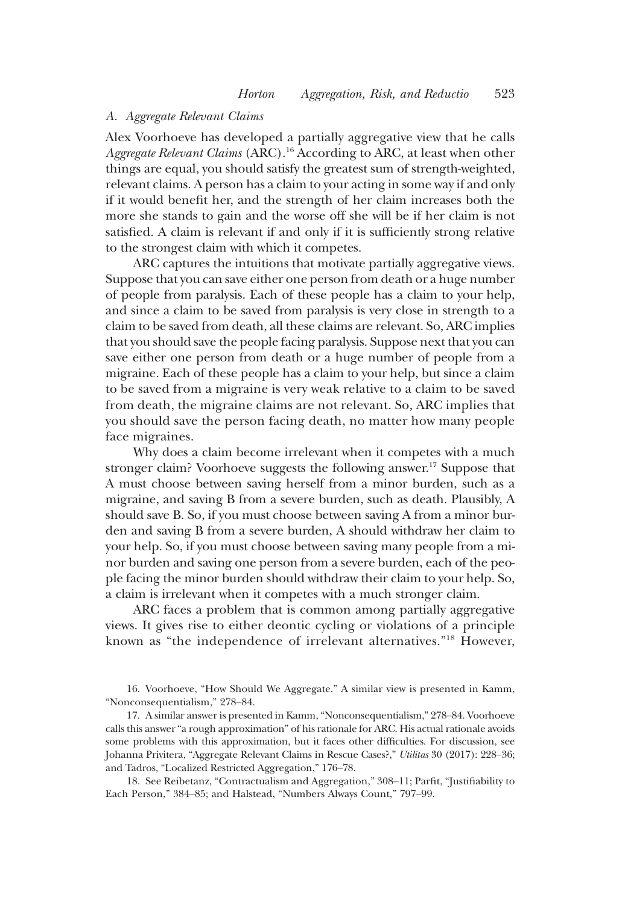### A. Aggregate Relevant Claims

Alex Voorhoeve has developed a partially aggregative view that he calls Aggregate Relevant Claims (ARC).<sup>16</sup> According to ARC, at least when other things are equal, you should satisfy the greatest sum of strength-weighted, relevant claims. A person has a claim to your acting in some way if and only if it would benefit her, and the strength of her claim increases both the more she stands to gain and the worse off she will be if her claim is not satisfied. A claim is relevant if and only if it is sufficiently strong relative to the strongest claim with which it competes.

ARC captures the intuitions that motivate partially aggregative views. Suppose that you can save either one person from death or a huge number of people from paralysis. Each of these people has a claim to your help, and since a claim to be saved from paralysis is very close in strength to a claim to be saved from death, all these claims are relevant. So, ARC implies that you should save the people facing paralysis. Suppose next that you can save either one person from death or a huge number of people from a migraine. Each of these people has a claim to your help, but since a claim to be saved from a migraine is very weak relative to a claim to be saved from death, the migraine claims are not relevant. So, ARC implies that you should save the person facing death, no matter how many people face migraines.

Why does a claim become irrelevant when it competes with a much stronger claim? Voorhoeve suggests the following answer.<sup>17</sup> Suppose that A must choose between saving herself from a minor burden, such as a migraine, and saving B from a severe burden, such as death. Plausibly, A should save B. So, if you must choose between saving A from a minor burden and saving B from a severe burden, A should withdraw her claim to your help. So, if you must choose between saving many people from a minor burden and saving one person from a severe burden, each of the people facing the minor burden should withdraw their claim to your help. So, a claim is irrelevant when it competes with a much stronger claim.

ARC faces a problem that is common among partially aggregative views. It gives rise to either deontic cycling or violations of a principle known as "the independence of irrelevant alternatives."<sup>18</sup> However,

16. Voorhoeve, "How Should We Aggregate." A similar view is presented in Kamm, "Nonconsequentialism," 278–84.

17. A similar answer is presented in Kamm, "Nonconsequentialism," 278–84. Voorhoeve calls this answer"a rough approximation" of his rationale for ARC. His actual rationale avoids some problems with this approximation, but it faces other difficulties. For discussion, see Johanna Privitera, "Aggregate Relevant Claims in Rescue Cases?," Utilitas 30 (2017): 228–36; and Tadros, "Localized Restricted Aggregation," 176–78.

18. See Reibetanz, "Contractualism and Aggregation," 308–11; Parfit, "Justifiability to Each Person," 384–85; and Halstead, "Numbers Always Count," 797–99.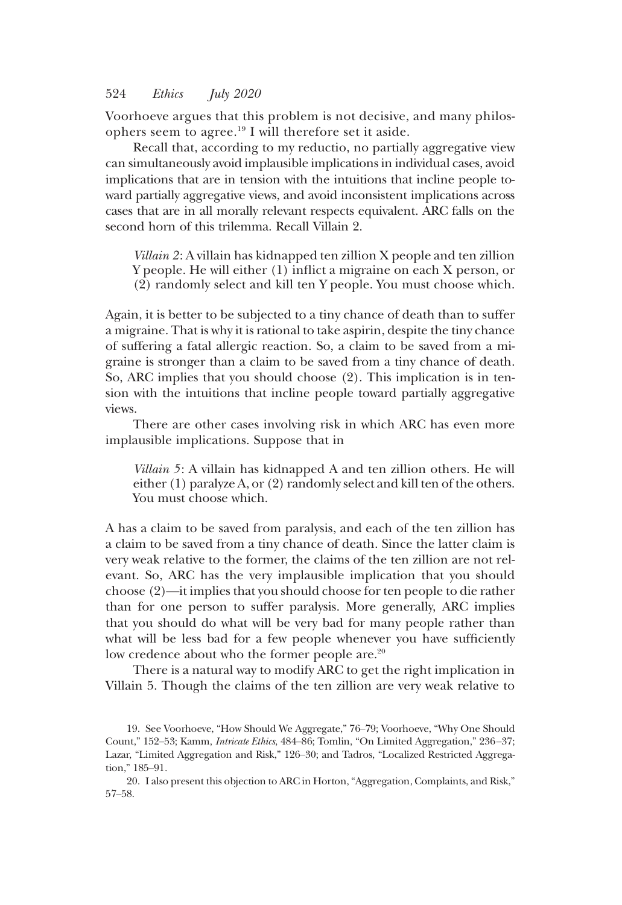Voorhoeve argues that this problem is not decisive, and many philosophers seem to agree.19 I will therefore set it aside.

Recall that, according to my reductio, no partially aggregative view can simultaneously avoid implausible implications in individual cases, avoid implications that are in tension with the intuitions that incline people toward partially aggregative views, and avoid inconsistent implications across cases that are in all morally relevant respects equivalent. ARC falls on the second horn of this trilemma. Recall Villain 2.

Villain 2: A villain has kidnapped ten zillion X people and ten zillion Y people. He will either (1) inflict a migraine on each X person, or (2) randomly select and kill ten Y people. You must choose which.

Again, it is better to be subjected to a tiny chance of death than to suffer a migraine. That is why it is rational to take aspirin, despite the tiny chance of suffering a fatal allergic reaction. So, a claim to be saved from a migraine is stronger than a claim to be saved from a tiny chance of death. So, ARC implies that you should choose (2). This implication is in tension with the intuitions that incline people toward partially aggregative views.

There are other cases involving risk in which ARC has even more implausible implications. Suppose that in

Villain 5: A villain has kidnapped A and ten zillion others. He will either (1) paralyze A, or (2) randomly select and kill ten of the others. You must choose which.

A has a claim to be saved from paralysis, and each of the ten zillion has a claim to be saved from a tiny chance of death. Since the latter claim is very weak relative to the former, the claims of the ten zillion are not relevant. So, ARC has the very implausible implication that you should choose (2)—it implies that you should choose for ten people to die rather than for one person to suffer paralysis. More generally, ARC implies that you should do what will be very bad for many people rather than what will be less bad for a few people whenever you have sufficiently low credence about who the former people are.<sup>20</sup>

There is a natural way to modify ARC to get the right implication in Villain 5. Though the claims of the ten zillion are very weak relative to

<sup>19.</sup> See Voorhoeve, "How Should We Aggregate," 76–79; Voorhoeve, "Why One Should Count," 152–53; Kamm, Intricate Ethics, 484–86; Tomlin, "On Limited Aggregation," 236–37; Lazar, "Limited Aggregation and Risk," 126–30; and Tadros, "Localized Restricted Aggregation," 185–91.

<sup>20.</sup> I also present this objection to ARC in Horton,"Aggregation, Complaints, and Risk," 57–58.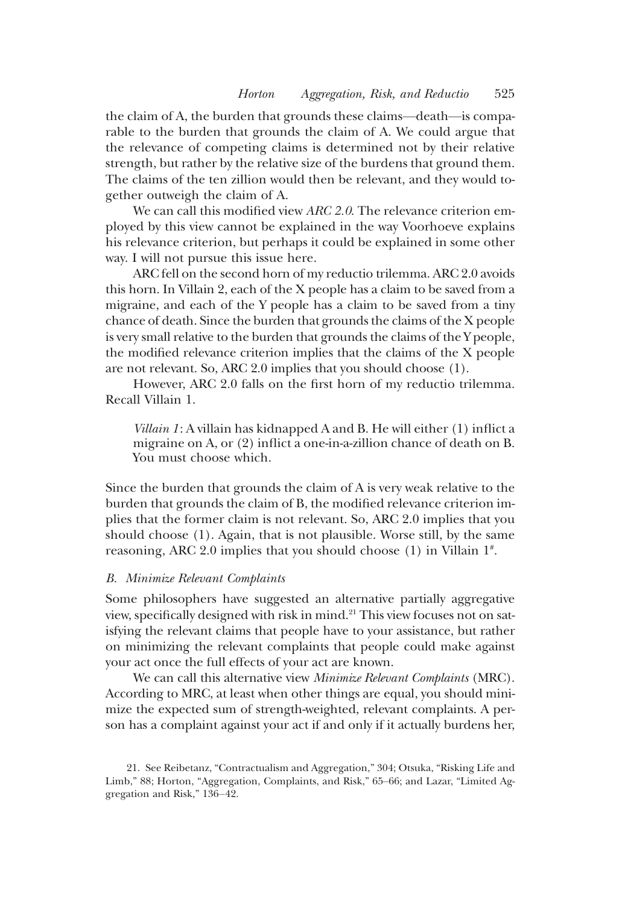the claim of A, the burden that grounds these claims—death—is comparable to the burden that grounds the claim of A. We could argue that the relevance of competing claims is determined not by their relative strength, but rather by the relative size of the burdens that ground them. The claims of the ten zillion would then be relevant, and they would together outweigh the claim of A.

We can call this modified view ARC 2.0. The relevance criterion employed by this view cannot be explained in the way Voorhoeve explains his relevance criterion, but perhaps it could be explained in some other way. I will not pursue this issue here.

ARC fell on the second horn of my reductio trilemma. ARC 2.0 avoids this horn. In Villain 2, each of the X people has a claim to be saved from a migraine, and each of the Y people has a claim to be saved from a tiny chance of death. Since the burden that grounds the claims of the X people is very small relative to the burden that grounds the claims of the Y people, the modified relevance criterion implies that the claims of the X people are not relevant. So, ARC 2.0 implies that you should choose (1).

However, ARC 2.0 falls on the first horn of my reductio trilemma. Recall Villain 1.

Villain 1: A villain has kidnapped A and B. He will either (1) inflict a migraine on A, or (2) inflict a one-in-a-zillion chance of death on B. You must choose which.

Since the burden that grounds the claim of A is very weak relative to the burden that grounds the claim of B, the modified relevance criterion implies that the former claim is not relevant. So, ARC 2.0 implies that you should choose (1). Again, that is not plausible. Worse still, by the same reasoning, ARC 2.0 implies that you should choose (1) in Villain 1# .

#### B. Minimize Relevant Complaints

Some philosophers have suggested an alternative partially aggregative view, specifically designed with risk in mind.<sup>21</sup> This view focuses not on satisfying the relevant claims that people have to your assistance, but rather on minimizing the relevant complaints that people could make against your act once the full effects of your act are known.

We can call this alternative view *Minimize Relevant Complaints* (MRC). According to MRC, at least when other things are equal, you should minimize the expected sum of strength-weighted, relevant complaints. A person has a complaint against your act if and only if it actually burdens her,

<sup>21.</sup> See Reibetanz, "Contractualism and Aggregation," 304; Otsuka, "Risking Life and Limb," 88; Horton, "Aggregation, Complaints, and Risk," 65–66; and Lazar, "Limited Aggregation and Risk," 136–42.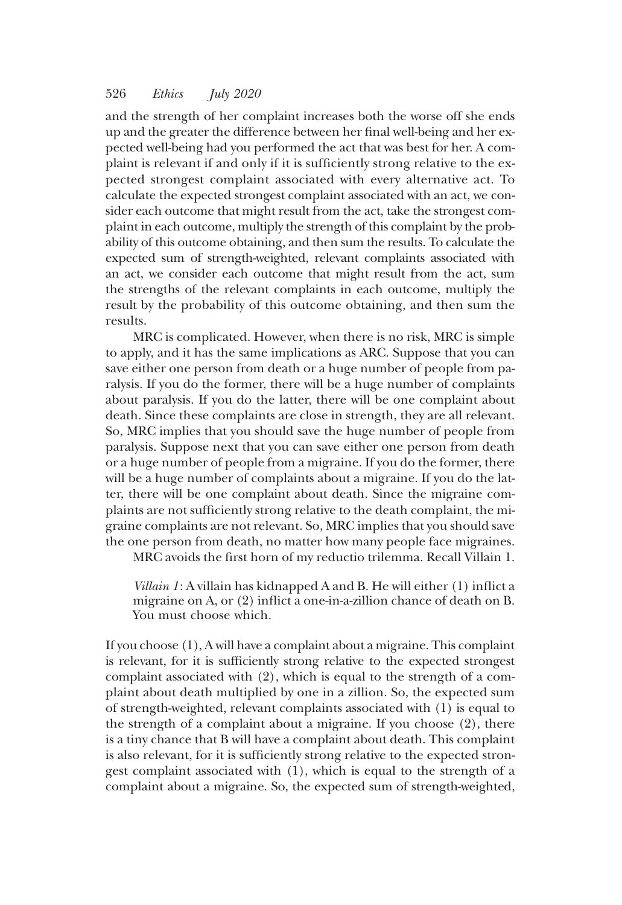and the strength of her complaint increases both the worse off she ends up and the greater the difference between her final well-being and her expected well-being had you performed the act that was best for her. A complaint is relevant if and only if it is sufficiently strong relative to the expected strongest complaint associated with every alternative act. To calculate the expected strongest complaint associated with an act, we consider each outcome that might result from the act, take the strongest complaint in each outcome, multiply the strength of this complaint by the probability of this outcome obtaining, and then sum the results. To calculate the expected sum of strength-weighted, relevant complaints associated with an act, we consider each outcome that might result from the act, sum the strengths of the relevant complaints in each outcome, multiply the result by the probability of this outcome obtaining, and then sum the results.

MRC is complicated. However, when there is no risk, MRC is simple to apply, and it has the same implications as ARC. Suppose that you can save either one person from death or a huge number of people from paralysis. If you do the former, there will be a huge number of complaints about paralysis. If you do the latter, there will be one complaint about death. Since these complaints are close in strength, they are all relevant. So, MRC implies that you should save the huge number of people from paralysis. Suppose next that you can save either one person from death or a huge number of people from a migraine. If you do the former, there will be a huge number of complaints about a migraine. If you do the latter, there will be one complaint about death. Since the migraine complaints are not sufficiently strong relative to the death complaint, the migraine complaints are not relevant. So, MRC implies that you should save the one person from death, no matter how many people face migraines.

MRC avoids the first horn of my reductio trilemma. Recall Villain 1.

Villain 1: A villain has kidnapped A and B. He will either (1) inflict a migraine on A, or (2) inflict a one-in-a-zillion chance of death on B. You must choose which.

If you choose (1), A will have a complaint about a migraine. This complaint is relevant, for it is sufficiently strong relative to the expected strongest complaint associated with (2), which is equal to the strength of a complaint about death multiplied by one in a zillion. So, the expected sum of strength-weighted, relevant complaints associated with (1) is equal to the strength of a complaint about a migraine. If you choose (2), there is a tiny chance that B will have a complaint about death. This complaint is also relevant, for it is sufficiently strong relative to the expected strongest complaint associated with (1), which is equal to the strength of a complaint about a migraine. So, the expected sum of strength-weighted,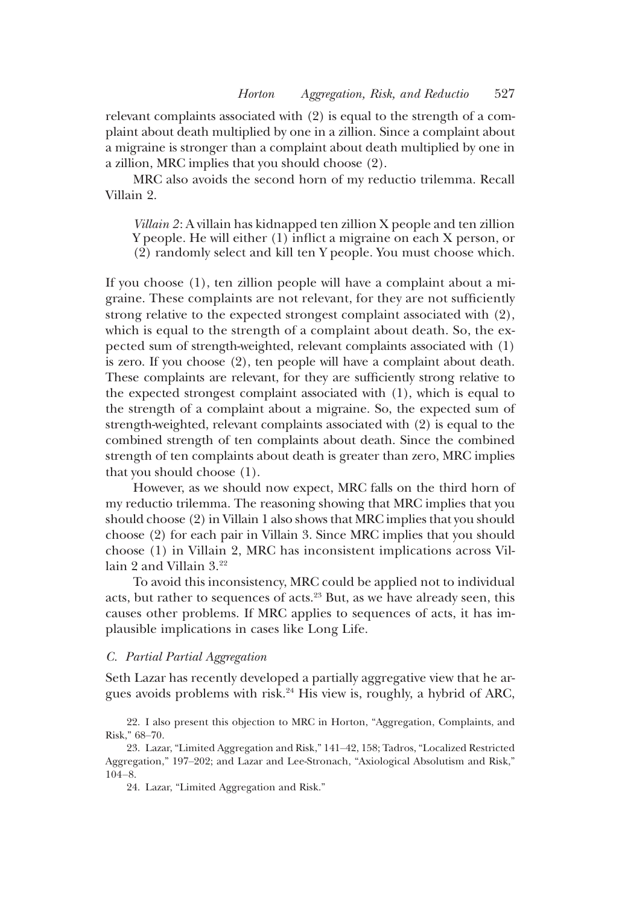relevant complaints associated with (2) is equal to the strength of a complaint about death multiplied by one in a zillion. Since a complaint about a migraine is stronger than a complaint about death multiplied by one in a zillion, MRC implies that you should choose (2).

MRC also avoids the second horn of my reductio trilemma. Recall Villain 2.

Villain 2: A villain has kidnapped ten zillion X people and ten zillion Y people. He will either (1) inflict a migraine on each X person, or (2) randomly select and kill ten Y people. You must choose which.

If you choose (1), ten zillion people will have a complaint about a migraine. These complaints are not relevant, for they are not sufficiently strong relative to the expected strongest complaint associated with (2), which is equal to the strength of a complaint about death. So, the expected sum of strength-weighted, relevant complaints associated with (1) is zero. If you choose (2), ten people will have a complaint about death. These complaints are relevant, for they are sufficiently strong relative to the expected strongest complaint associated with (1), which is equal to the strength of a complaint about a migraine. So, the expected sum of strength-weighted, relevant complaints associated with (2) is equal to the combined strength of ten complaints about death. Since the combined strength of ten complaints about death is greater than zero, MRC implies that you should choose (1).

However, as we should now expect, MRC falls on the third horn of my reductio trilemma. The reasoning showing that MRC implies that you should choose (2) in Villain 1 also shows that MRC implies that you should choose (2) for each pair in Villain 3. Since MRC implies that you should choose (1) in Villain 2, MRC has inconsistent implications across Villain 2 and Villain 3.<sup>22</sup>

To avoid this inconsistency, MRC could be applied not to individual acts, but rather to sequences of acts.<sup>23</sup> But, as we have already seen, this causes other problems. If MRC applies to sequences of acts, it has implausible implications in cases like Long Life.

#### C. Partial Partial Aggregation

Seth Lazar has recently developed a partially aggregative view that he argues avoids problems with risk.<sup>24</sup> His view is, roughly, a hybrid of ARC,

22. I also present this objection to MRC in Horton, "Aggregation, Complaints, and Risk," 68–70.

24. Lazar, "Limited Aggregation and Risk."

<sup>23.</sup> Lazar, "Limited Aggregation and Risk," 141–42, 158; Tadros, "Localized Restricted Aggregation," 197–202; and Lazar and Lee-Stronach, "Axiological Absolutism and Risk," 104–8.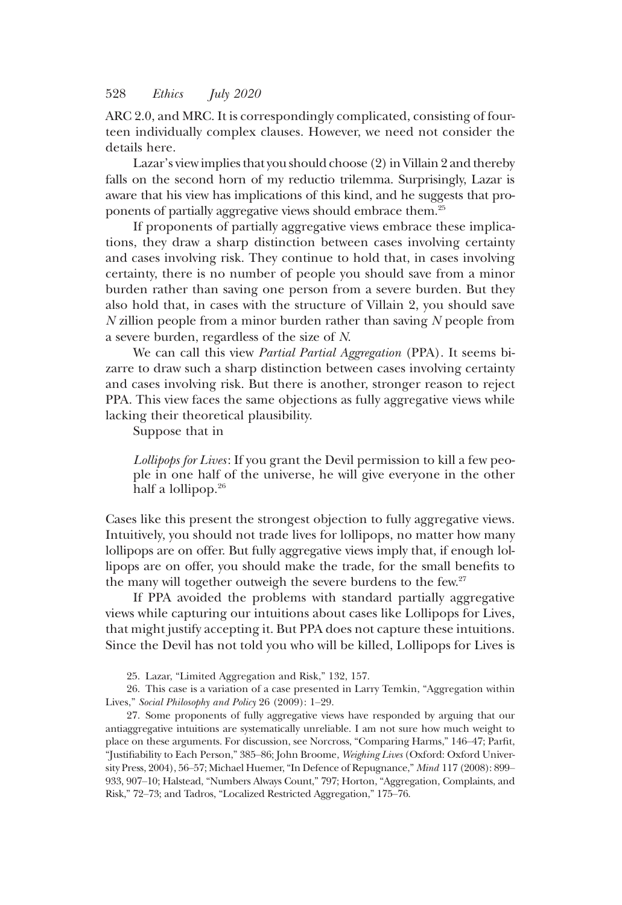ARC 2.0, and MRC. It is correspondingly complicated, consisting of fourteen individually complex clauses. However, we need not consider the details here.

Lazar's view implies that you should choose (2) in Villain 2 and thereby falls on the second horn of my reductio trilemma. Surprisingly, Lazar is aware that his view has implications of this kind, and he suggests that proponents of partially aggregative views should embrace them.25

If proponents of partially aggregative views embrace these implications, they draw a sharp distinction between cases involving certainty and cases involving risk. They continue to hold that, in cases involving certainty, there is no number of people you should save from a minor burden rather than saving one person from a severe burden. But they also hold that, in cases with the structure of Villain 2, you should save  $N$  zillion people from a minor burden rather than saving  $N$  people from a severe burden, regardless of the size of N.

We can call this view Partial Partial Aggregation (PPA). It seems bizarre to draw such a sharp distinction between cases involving certainty and cases involving risk. But there is another, stronger reason to reject PPA. This view faces the same objections as fully aggregative views while lacking their theoretical plausibility.

Suppose that in

Lollipops for Lives: If you grant the Devil permission to kill a few people in one half of the universe, he will give everyone in the other half a lollipop.<sup>26</sup>

Cases like this present the strongest objection to fully aggregative views. Intuitively, you should not trade lives for lollipops, no matter how many lollipops are on offer. But fully aggregative views imply that, if enough lollipops are on offer, you should make the trade, for the small benefits to the many will together outweigh the severe burdens to the few.<sup>27</sup>

If PPA avoided the problems with standard partially aggregative views while capturing our intuitions about cases like Lollipops for Lives, that might justify accepting it. But PPA does not capture these intuitions. Since the Devil has not told you who will be killed, Lollipops for Lives is

25. Lazar, "Limited Aggregation and Risk," 132, 157.

26. This case is a variation of a case presented in Larry Temkin, "Aggregation within Lives," Social Philosophy and Policy 26 (2009): 1–29.

27. Some proponents of fully aggregative views have responded by arguing that our antiaggregative intuitions are systematically unreliable. I am not sure how much weight to place on these arguments. For discussion, see Norcross, "Comparing Harms," 146–47; Parfit, "Justifiability to Each Person," 385–86; John Broome, Weighing Lives (Oxford: Oxford University Press, 2004), 56–57; Michael Huemer, "In Defence of Repugnance," Mind 117 (2008): 899– 933, 907–10; Halstead, "Numbers Always Count," 797; Horton, "Aggregation, Complaints, and Risk," 72–73; and Tadros, "Localized Restricted Aggregation," 175–76.